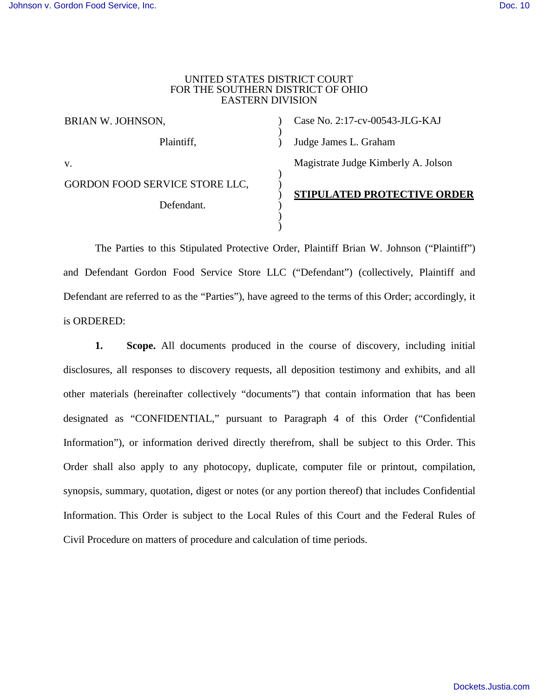#### UNITED STATES DISTRICT COURT FOR THE SOUTHERN DISTRICT OF OHIO EASTERN DIVISION

| BRIAN W. JOHNSON,              |  | Case No. 2:17-cv-00543-JLG-KAJ      |
|--------------------------------|--|-------------------------------------|
| Plaintiff,                     |  | Judge James L. Graham               |
| V.                             |  | Magistrate Judge Kimberly A. Jolson |
| GORDON FOOD SERVICE STORE LLC, |  | <b>STIPULATED PROTECTIVE ORDER</b>  |
| Defendant.                     |  |                                     |
|                                |  |                                     |

The Parties to this Stipulated Protective Order, Plaintiff Brian W. Johnson ("Plaintiff") and Defendant Gordon Food Service Store LLC ("Defendant") (collectively, Plaintiff and Defendant are referred to as the "Parties"), have agreed to the terms of this Order; accordingly, it is ORDERED:

**1. Scope.** All documents produced in the course of discovery, including initial disclosures, all responses to discovery requests, all deposition testimony and exhibits, and all other materials (hereinafter collectively "documents") that contain information that has been designated as "CONFIDENTIAL," pursuant to Paragraph 4 of this Order ("Confidential Information"), or information derived directly therefrom, shall be subject to this Order. This Order shall also apply to any photocopy, duplicate, computer file or printout, compilation, synopsis, summary, quotation, digest or notes (or any portion thereof) that includes Confidential Information. This Order is subject to the Local Rules of this Court and the Federal Rules of Civil Procedure on matters of procedure and calculation of time periods.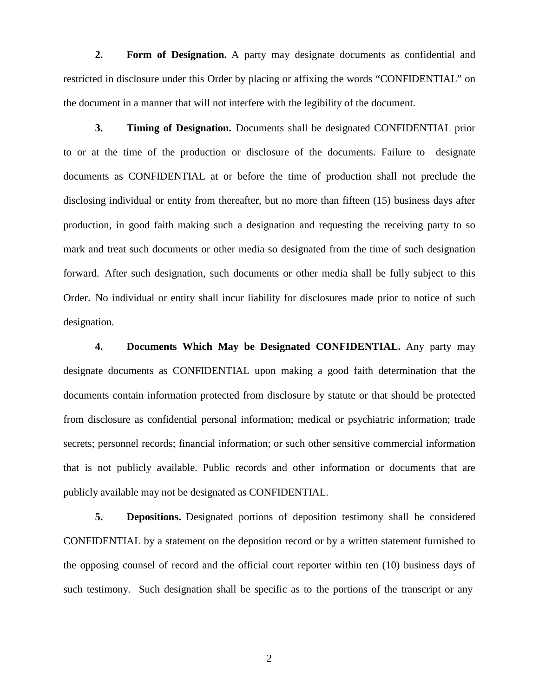**2. Form of Designation.** A party may designate documents as confidential and restricted in disclosure under this Order by placing or affixing the words "CONFIDENTIAL" on the document in a manner that will not interfere with the legibility of the document.

**3. Timing of Designation.** Documents shall be designated CONFIDENTIAL prior to or at the time of the production or disclosure of the documents. Failure to designate documents as CONFIDENTIAL at or before the time of production shall not preclude the disclosing individual or entity from thereafter, but no more than fifteen (15) business days after production, in good faith making such a designation and requesting the receiving party to so mark and treat such documents or other media so designated from the time of such designation forward. After such designation, such documents or other media shall be fully subject to this Order. No individual or entity shall incur liability for disclosures made prior to notice of such designation.

**4. Documents Which May be Designated CONFIDENTIAL.** Any party may designate documents as CONFIDENTIAL upon making a good faith determination that the documents contain information protected from disclosure by statute or that should be protected from disclosure as confidential personal information; medical or psychiatric information; trade secrets; personnel records; financial information; or such other sensitive commercial information that is not publicly available. Public records and other information or documents that are publicly available may not be designated as CONFIDENTIAL.

**5. Depositions.** Designated portions of deposition testimony shall be considered CONFIDENTIAL by a statement on the deposition record or by a written statement furnished to the opposing counsel of record and the official court reporter within ten (10) business days of such testimony. Such designation shall be specific as to the portions of the transcript or any

2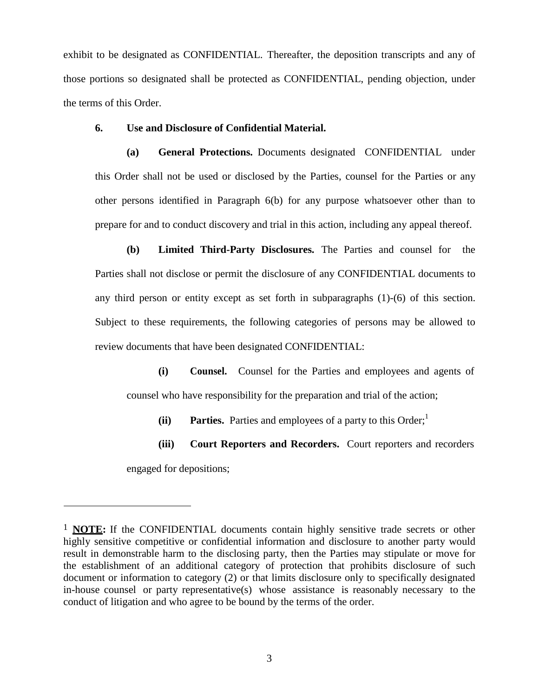exhibit to be designated as CONFIDENTIAL. Thereafter, the deposition transcripts and any of those portions so designated shall be protected as CONFIDENTIAL, pending objection, under the terms of this Order.

### **6. Use and Disclosure of Confidential Material.**

**(a) General Protections.** Documents designated CONFIDENTIAL under this Order shall not be used or disclosed by the Parties, counsel for the Parties or any other persons identified in Paragraph 6(b) for any purpose whatsoever other than to prepare for and to conduct discovery and trial in this action, including any appeal thereof.

**(b) Limited Third-Party Disclosures.** The Parties and counsel for the Parties shall not disclose or permit the disclosure of any CONFIDENTIAL documents to any third person or entity except as set forth in subparagraphs (1)-(6) of this section. Subject to these requirements, the following categories of persons may be allowed to review documents that have been designated CONFIDENTIAL:

**(i) Counsel.** Counsel for the Parties and employees and agents of counsel who have responsibility for the preparation and trial of the action;

 $(iii)$  **Parties.** Parties and employees of a party to this Order;<sup>1</sup>

**(iii) Court Reporters and Recorders.** Court reporters and recorders engaged for depositions;

<sup>1</sup> **NOTE:** If the CONFIDENTIAL documents contain highly sensitive trade secrets or other highly sensitive competitive or confidential information and disclosure to another party would result in demonstrable harm to the disclosing party, then the Parties may stipulate or move for the establishment of an additional category of protection that prohibits disclosure of such document or information to category (2) or that limits disclosure only to specifically designated in-house counsel or party representative(s) whose assistance is reasonably necessary to the conduct of litigation and who agree to be bound by the terms of the order.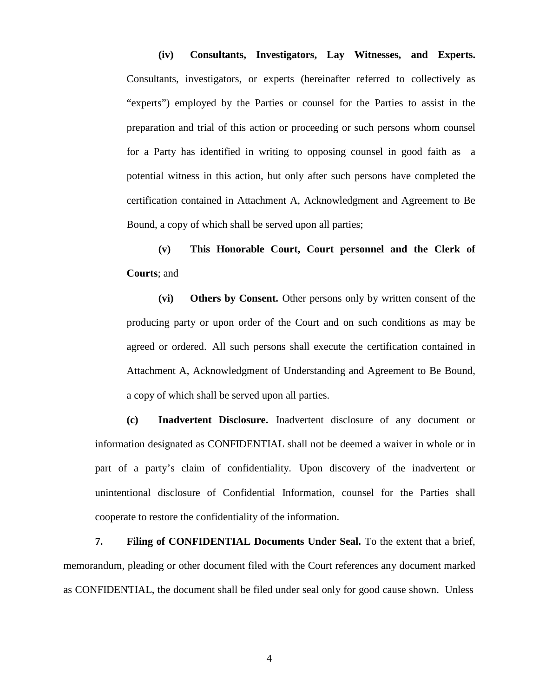**(iv) Consultants, Investigators, Lay Witnesses, and Experts.** Consultants, investigators, or experts (hereinafter referred to collectively as "experts") employed by the Parties or counsel for the Parties to assist in the preparation and trial of this action or proceeding or such persons whom counsel for a Party has identified in writing to opposing counsel in good faith as a potential witness in this action, but only after such persons have completed the certification contained in Attachment A, Acknowledgment and Agreement to Be Bound, a copy of which shall be served upon all parties;

**(v) This Honorable Court, Court personnel and the Clerk of Courts**; and

**(vi) Others by Consent.** Other persons only by written consent of the producing party or upon order of the Court and on such conditions as may be agreed or ordered. All such persons shall execute the certification contained in Attachment A, Acknowledgment of Understanding and Agreement to Be Bound, a copy of which shall be served upon all parties.

**(c) Inadvertent Disclosure.** Inadvertent disclosure of any document or information designated as CONFIDENTIAL shall not be deemed a waiver in whole or in part of a party's claim of confidentiality. Upon discovery of the inadvertent or unintentional disclosure of Confidential Information, counsel for the Parties shall cooperate to restore the confidentiality of the information.

**7. Filing of CONFIDENTIAL Documents Under Seal.** To the extent that a brief, memorandum, pleading or other document filed with the Court references any document marked as CONFIDENTIAL, the document shall be filed under seal only for good cause shown. Unless

4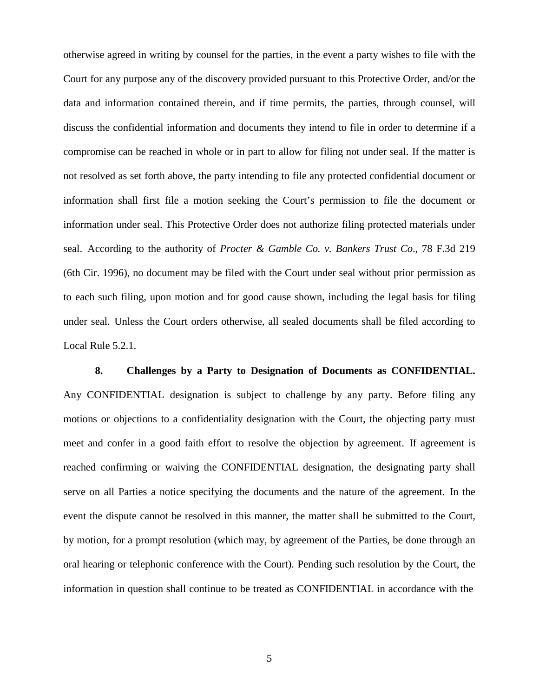otherwise agreed in writing by counsel for the parties, in the event a party wishes to file with the Court for any purpose any of the discovery provided pursuant to this Protective Order, and/or the data and information contained therein, and if time permits, the parties, through counsel, will discuss the confidential information and documents they intend to file in order to determine if a compromise can be reached in whole or in part to allow for filing not under seal. If the matter is not resolved as set forth above, the party intending to file any protected confidential document or information shall first file a motion seeking the Court's permission to file the document or information under seal. This Protective Order does not authorize filing protected materials under seal. According to the authority of *Procter & Gamble Co. v. Bankers Trust Co*., 78 F.3d 219 (6th Cir. 1996), no document may be filed with the Court under seal without prior permission as to each such filing, upon motion and for good cause shown, including the legal basis for filing under seal. Unless the Court orders otherwise, all sealed documents shall be filed according to Local Rule 5.2.1.

**8. Challenges by a Party to Designation of Documents as CONFIDENTIAL.** Any CONFIDENTIAL designation is subject to challenge by any party. Before filing any motions or objections to a confidentiality designation with the Court, the objecting party must meet and confer in a good faith effort to resolve the objection by agreement. If agreement is reached confirming or waiving the CONFIDENTIAL designation, the designating party shall serve on all Parties a notice specifying the documents and the nature of the agreement. In the event the dispute cannot be resolved in this manner, the matter shall be submitted to the Court, by motion, for a prompt resolution (which may, by agreement of the Parties, be done through an oral hearing or telephonic conference with the Court). Pending such resolution by the Court, the information in question shall continue to be treated as CONFIDENTIAL in accordance with the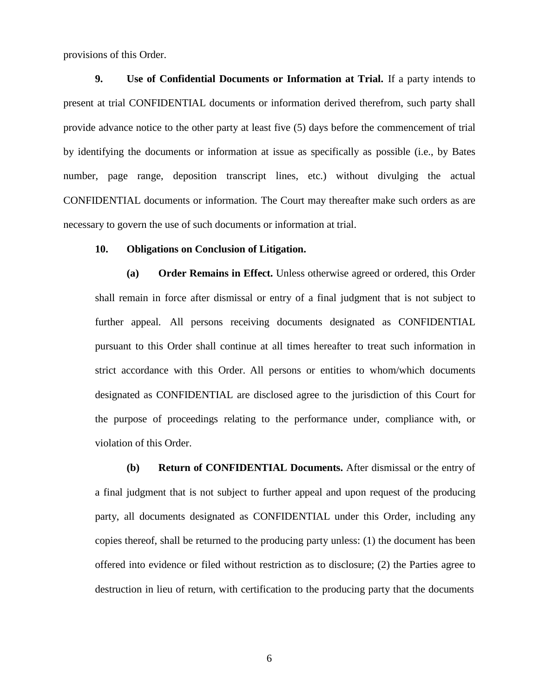provisions of this Order.

**9. Use of Confidential Documents or Information at Trial.** If a party intends to present at trial CONFIDENTIAL documents or information derived therefrom, such party shall provide advance notice to the other party at least five (5) days before the commencement of trial by identifying the documents or information at issue as specifically as possible (i.e., by Bates number, page range, deposition transcript lines, etc.) without divulging the actual CONFIDENTIAL documents or information. The Court may thereafter make such orders as are necessary to govern the use of such documents or information at trial.

# **10. Obligations on Conclusion of Litigation.**

**(a) Order Remains in Effect.** Unless otherwise agreed or ordered, this Order shall remain in force after dismissal or entry of a final judgment that is not subject to further appeal. All persons receiving documents designated as CONFIDENTIAL pursuant to this Order shall continue at all times hereafter to treat such information in strict accordance with this Order. All persons or entities to whom/which documents designated as CONFIDENTIAL are disclosed agree to the jurisdiction of this Court for the purpose of proceedings relating to the performance under, compliance with, or violation of this Order.

**(b) Return of CONFIDENTIAL Documents.** After dismissal or the entry of a final judgment that is not subject to further appeal and upon request of the producing party, all documents designated as CONFIDENTIAL under this Order, including any copies thereof, shall be returned to the producing party unless: (1) the document has been offered into evidence or filed without restriction as to disclosure; (2) the Parties agree to destruction in lieu of return, with certification to the producing party that the documents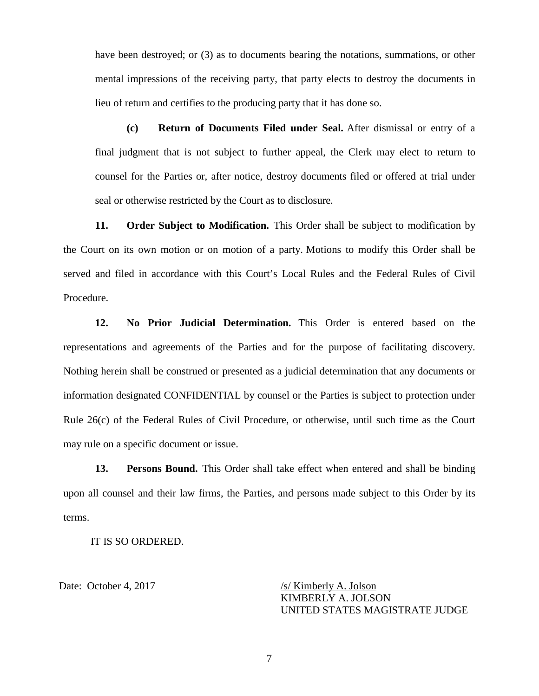have been destroyed; or (3) as to documents bearing the notations, summations, or other mental impressions of the receiving party, that party elects to destroy the documents in lieu of return and certifies to the producing party that it has done so.

**(c) Return of Documents Filed under Seal.** After dismissal or entry of a final judgment that is not subject to further appeal, the Clerk may elect to return to counsel for the Parties or, after notice, destroy documents filed or offered at trial under seal or otherwise restricted by the Court as to disclosure.

**11. Order Subject to Modification.** This Order shall be subject to modification by the Court on its own motion or on motion of a party. Motions to modify this Order shall be served and filed in accordance with this Court's Local Rules and the Federal Rules of Civil Procedure.

**12. No Prior Judicial Determination.** This Order is entered based on the representations and agreements of the Parties and for the purpose of facilitating discovery. Nothing herein shall be construed or presented as a judicial determination that any documents or information designated CONFIDENTIAL by counsel or the Parties is subject to protection under Rule 26(c) of the Federal Rules of Civil Procedure, or otherwise, until such time as the Court may rule on a specific document or issue.

**13. Persons Bound.** This Order shall take effect when entered and shall be binding upon all counsel and their law firms, the Parties, and persons made subject to this Order by its terms.

IT IS SO ORDERED.

Date: October 4, 2017 /s/ Kimberly A. Jolson KIMBERLY A. JOLSON UNITED STATES MAGISTRATE JUDGE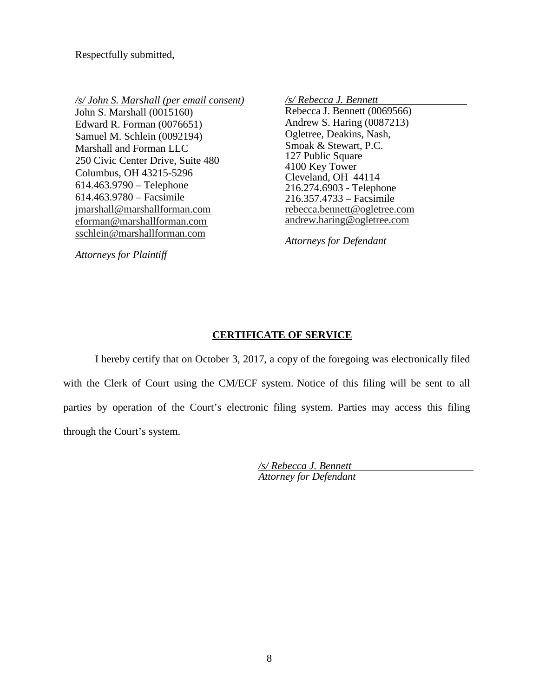Respectfully submitted,

*/s/ John S. Marshall (per email consent)*

John S. Marshall (0015160) Edward R. Forman (0076651) Samuel M. Schlein (0092194) Marshall and Forman LLC 250 Civic Center Drive, Suite 480 Columbus, OH 43215-5296 614.463.9790 – Telephone 614.463.9780 – Facsimile [jmarshall@marshallforman.com](mailto:jmarshall@marshallforman.com) [eforman@marshallforman.com](mailto:eforman@marshallforman.com)  [sschlein@marshallforman.com](mailto:sschlein@marshallforman.com)

*/s/ Rebecca J. Bennett*  Rebecca J. Bennett (0069566) Andrew S. Haring (0087213) Ogletree, Deakins, Nash, Smoak & Stewart, P.C. 127 Public Square 4100 Key Tower Cleveland, OH 44114 216.274.6903 - Telephone 216.357.4733 – Facsimile [rebecca.bennett@ogletree.com](mailto:rebecca.bennett@ogletree.com)  [andrew.haring@ogletree.com](mailto:andrew.haring@ogletree.com)

*Attorneys for Defendant*

*Attorneys for Plaintiff*

## **CERTIFICATE OF SERVICE**

I hereby certify that on October 3, 2017, a copy of the foregoing was electronically filed with the Clerk of Court using the CM/ECF system. Notice of this filing will be sent to all parties by operation of the Court's electronic filing system. Parties may access this filing through the Court's system.

> */s/ Rebecca J. Bennett Attorney for Defendant*